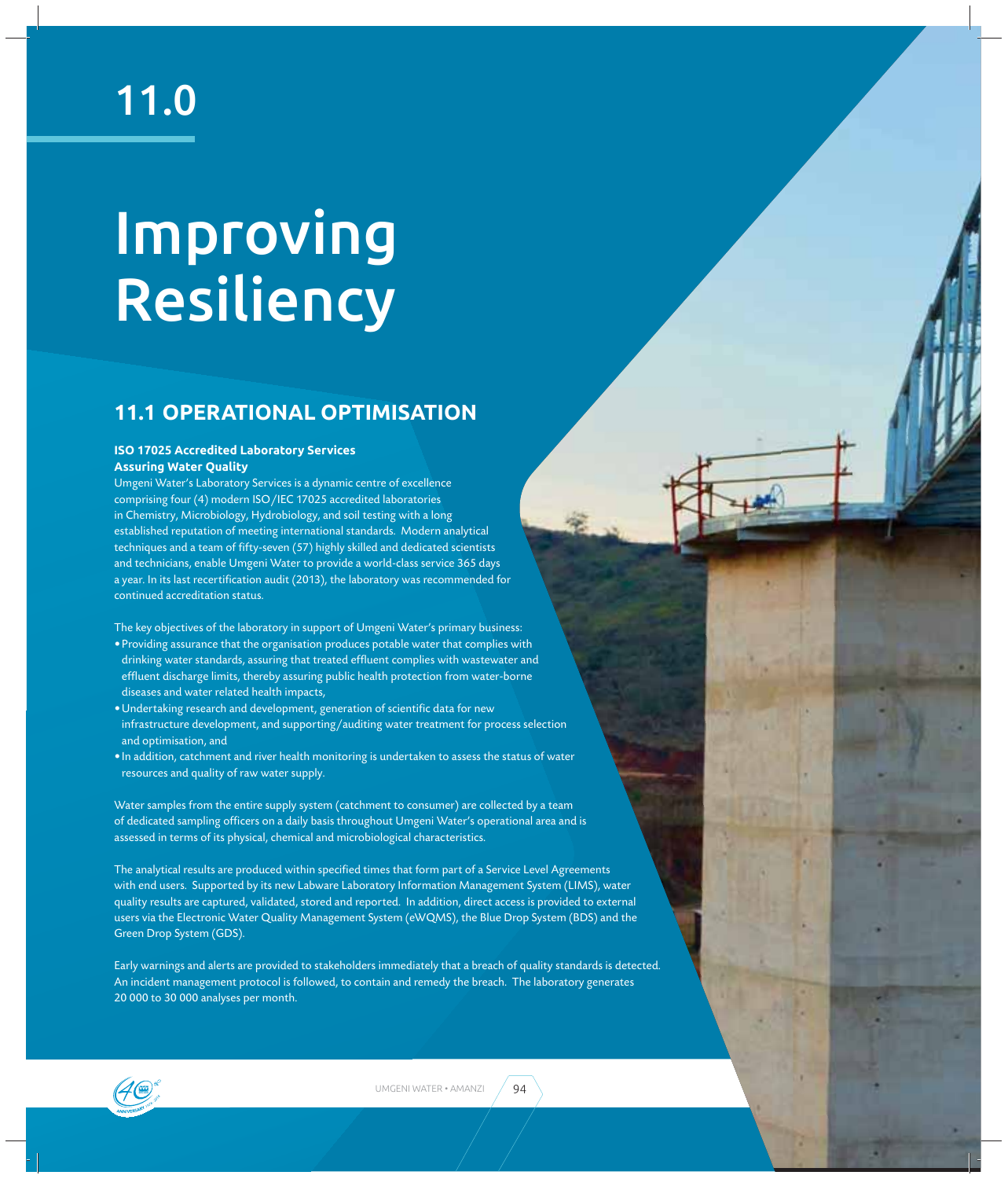### 11.0

## Improving Resiliency

#### **11.1 OPERATIONAL OPTIMISATION**

#### **ISO 17025 Accredited Laboratory Services Assuring Water Quality**

Umgeni Water's Laboratory Services is a dynamic centre of excellence comprising four (4) modern ISO/IEC 17025 accredited laboratories in Chemistry, Microbiology, Hydrobiology, and soil testing with a long established reputation of meeting international standards. Modern analytical techniques and a team of fifty-seven (57) highly skilled and dedicated scientists and technicians, enable Umgeni Water to provide a world-class service 365 days a year. In its last recertification audit (2013), the laboratory was recommended for continued accreditation status.

The key objectives of the laboratory in support of Umgeni Water's primary business:

- Providing assurance that the organisation produces potable water that complies with drinking water standards, assuring that treated effluent complies with wastewater and effluent discharge limits, thereby assuring public health protection from water-borne diseases and water related health impacts,
- · Undertaking research and development, generation of scientific data for new infrastructure development, and supporting/auditing water treatment for process selection and optimisation, and
- In addition, catchment and river health monitoring is undertaken to assess the status of water resources and quality of raw water supply.

Water samples from the entire supply system (catchment to consumer) are collected by a team of dedicated sampling officers on a daily basis throughout Umgeni Water's operational area and is assessed in terms of its physical, chemical and microbiological characteristics.

The analytical results are produced within specified times that form part of a Service Level Agreements with end users. Supported by its new Labware Laboratory Information Management System (LIMS), water quality results are captured, validated, stored and reported. In addition, direct access is provided to external users via the Electronic Water Quality Management System (eWQMS), the Blue Drop System (BDS) and the Green Drop System (GDS).

Early warnings and alerts are provided to stakeholders immediately that a breach of quality standards is detected. An incident management protocol is followed, to contain and remedy the breach. The laboratory generates 20 000 to 30 000 analyses per month.

UMGENI WATER • AMANZI $\left( 94\right)$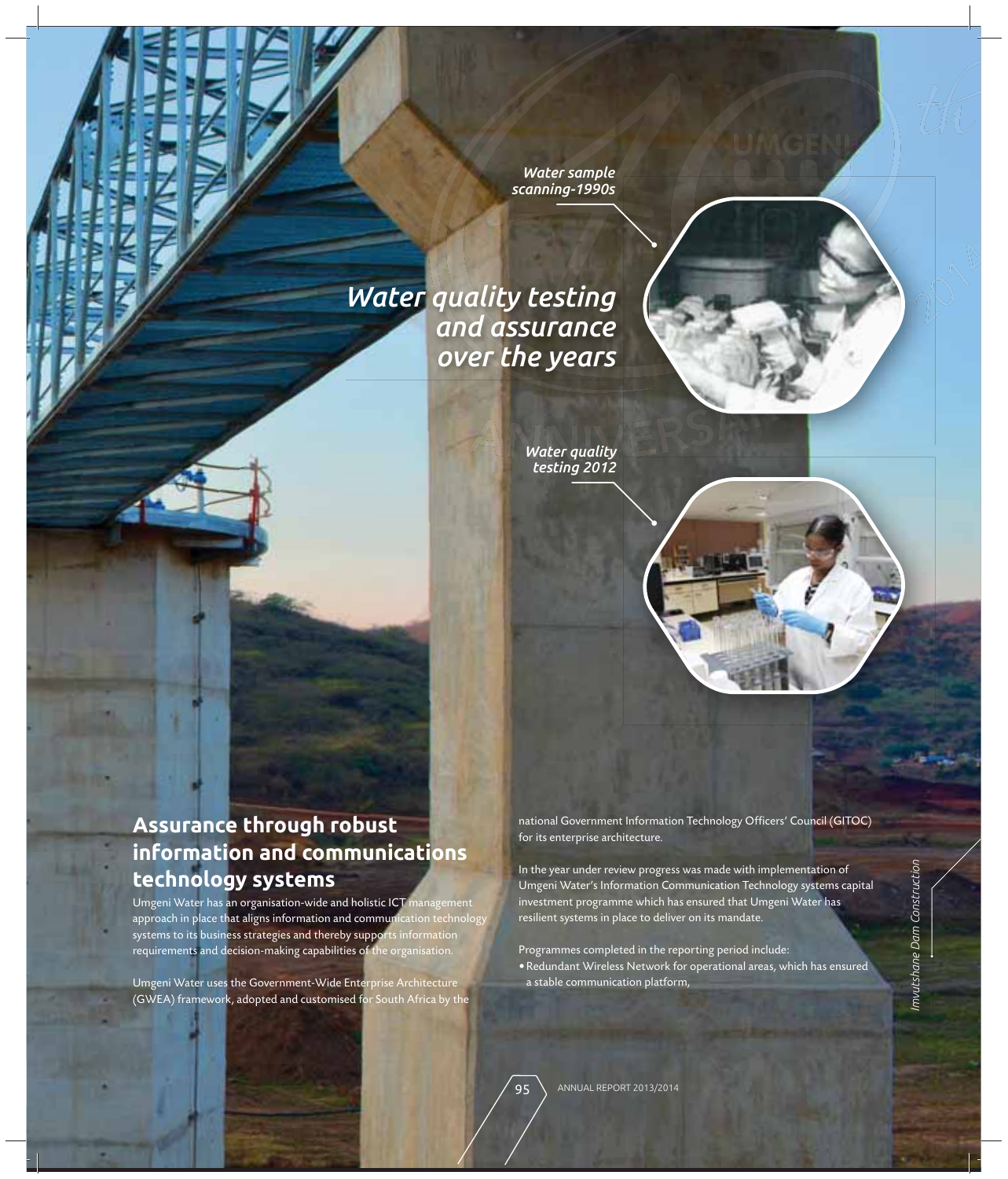**Water sample** *scanning-1990s*

# Water sample<br>
scanning-1990s<br>
Manuscript<br>
Surance<br>
Surance<br>
Surance<br>
Water quality<br>
testing 2012<br>
Water quality<br>
testing 2012<br>
Manuscript<br>
Considers and the year under rev<br>
Umgeni Water's Info<br>
investment program<br>
resilien *Water quality testing and assurance over the years*

*Water quality testing 2012*

#### **Assurance through robust information and communications technology systems**

Umgeni Water has an organisation-wide and holistic ICT management approach in place that aligns information and communication technology systems to its business strategies and thereby supports information requirements and decision-making capabilities of the organisation.

Umgeni Water uses the Government-Wide Enterprise Architecture (GWEA) framework, adopted and customised for South Africa by the national Government Information Technology Officers' Council (GITOC) for its enterprise architecture.

In the year under review progress was made with implementation of Umgeni Water's Information Communication Technology systems capital investment programme which has ensured that Umgeni Water has resilient systems in place to deliver on its mandate.

Programmes completed in the reporting period include: • Redundant Wireless Network for operational areas, which has ensured a stable communication platform,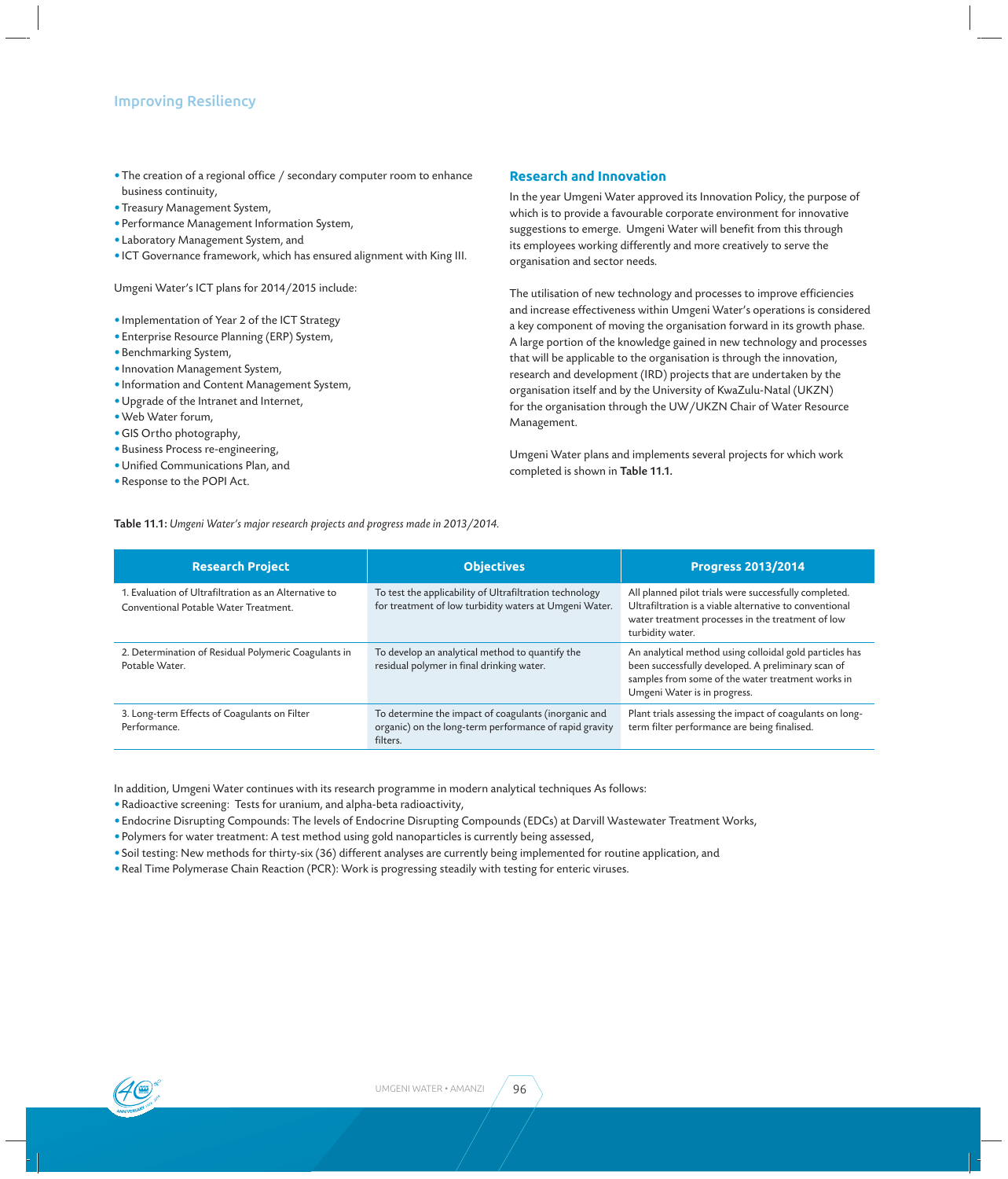- The creation of a regional office / secondary computer room to enhance business continuity,
- Treasury Management System,
- Performance Management Information System,
- Laboratory Management System, and
- ICT Governance framework, which has ensured alignment with King III.

Umgeni Water's ICT plans for 2014/2015 include:

- Implementation of Year 2 of the ICT Strategy
- Enterprise Resource Planning (ERP) System,
- Benchmarking System,
- Innovation Management System,
- Information and Content Management System,
- Upgrade of the Intranet and Internet,
- Web Water forum,
- GIS Ortho photography,
- Business Process re-engineering,
- Unified Communications Plan, and
- Response to the POPI Act.

#### **Research and Innovation**

In the year Umgeni Water approved its Innovation Policy, the purpose of which is to provide a favourable corporate environment for innovative suggestions to emerge. Umgeni Water will benefit from this through its employees working differently and more creatively to serve the organisation and sector needs.

The utilisation of new technology and processes to improve efficiencies and increase effectiveness within Umgeni Water's operations is considered a key component of moving the organisation forward in its growth phase. A large portion of the knowledge gained in new technology and processes that will be applicable to the organisation is through the innovation, research and development (IRD) projects that are undertaken by the organisation itself and by the University of KwaZulu-Natal (UKZN) for the organisation through the UW/UKZN Chair of Water Resource Management.

Umgeni Water plans and implements several projects for which work completed is shown in Table 11.1.

Table 11.1: *Umgeni Water's major research projects and progress made in 2013/2014.*

| <b>Research Project</b>                                                                        | <b>Objectives</b>                                                                                                          | <b>Progress 2013/2014</b>                                                                                                                                                                          |
|------------------------------------------------------------------------------------------------|----------------------------------------------------------------------------------------------------------------------------|----------------------------------------------------------------------------------------------------------------------------------------------------------------------------------------------------|
| 1. Evaluation of Ultrafiltration as an Alternative to<br>Conventional Potable Water Treatment. | To test the applicability of Ultrafiltration technology<br>for treatment of low turbidity waters at Umgeni Water.          | All planned pilot trials were successfully completed.<br>Ultrafiltration is a viable alternative to conventional<br>water treatment processes in the treatment of low<br>turbidity water.          |
| 2. Determination of Residual Polymeric Coagulants in<br>Potable Water.                         | To develop an analytical method to quantify the<br>residual polymer in final drinking water.                               | An analytical method using colloidal gold particles has<br>been successfully developed. A preliminary scan of<br>samples from some of the water treatment works in<br>Umgeni Water is in progress. |
| 3. Long-term Effects of Coagulants on Filter<br>Performance.                                   | To determine the impact of coagulants (inorganic and<br>organic) on the long-term performance of rapid gravity<br>filters. | Plant trials assessing the impact of coagulants on long-<br>term filter performance are being finalised.                                                                                           |

In addition, Umgeni Water continues with its research programme in modern analytical techniques As follows:

• Radioactive screening: Tests for uranium, and alpha-beta radioactivity,

• Endocrine Disrupting Compounds: The levels of Endocrine Disrupting Compounds (EDCs) at Darvill Wastewater Treatment Works,

• Polymers for water treatment: A test method using gold nanoparticles is currently being assessed,

• Soil testing: New methods for thirty-six (36) different analyses are currently being implemented for routine application, and

• Real Time Polymerase Chain Reaction (PCR): Work is progressing steadily with testing for enteric viruses.



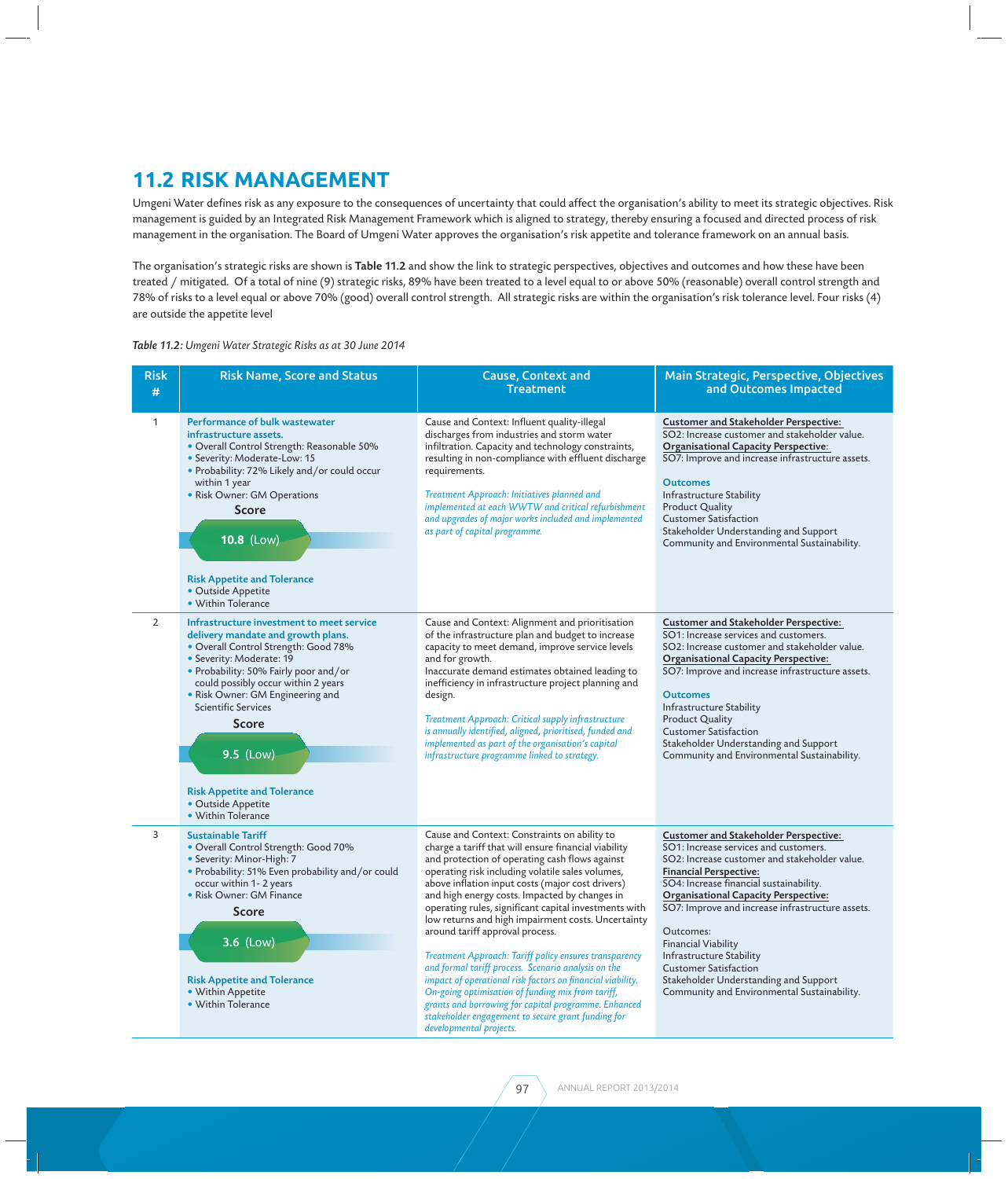#### **11.2 RISK MANAGEMENT**

Umgeni Water defines risk as any exposure to the consequences of uncertainty that could affect the organisation's ability to meet its strategic objectives. Risk management is guided by an Integrated Risk Management Framework which is aligned to strategy, thereby ensuring a focused and directed process of risk management in the organisation. The Board of Umgeni Water approves the organisation's risk appetite and tolerance framework on an annual basis.

The organisation's strategic risks are shown is Table 11.2 and show the link to strategic perspectives, objectives and outcomes and how these have been treated / mitigated. Of a total of nine (9) strategic risks, 89% have been treated to a level equal to or above 50% (reasonable) overall control strength and 78% of risks to a level equal or above 70% (good) overall control strength. All strategic risks are within the organisation's risk tolerance level. Four risks (4) are outside the appetite level

*Table 11.2: Umgeni Water Strategic Risks as at 30 June 2014*

| <b>Risk</b><br># | <b>Risk Name, Score and Status</b>                                                                                                                                                                                                                                                                                                                                                                                   | <b>Cause, Context and</b><br><b>Treatment</b>                                                                                                                                                                                                                                                                                                                                                                                                                                                                                                                                                                                                                                                                                                                                                                                                  | Main Strategic, Perspective, Objectives<br>and Outcomes Impacted                                                                                                                                                                                                                                                                                                                                                                                                                                                     |
|------------------|----------------------------------------------------------------------------------------------------------------------------------------------------------------------------------------------------------------------------------------------------------------------------------------------------------------------------------------------------------------------------------------------------------------------|------------------------------------------------------------------------------------------------------------------------------------------------------------------------------------------------------------------------------------------------------------------------------------------------------------------------------------------------------------------------------------------------------------------------------------------------------------------------------------------------------------------------------------------------------------------------------------------------------------------------------------------------------------------------------------------------------------------------------------------------------------------------------------------------------------------------------------------------|----------------------------------------------------------------------------------------------------------------------------------------------------------------------------------------------------------------------------------------------------------------------------------------------------------------------------------------------------------------------------------------------------------------------------------------------------------------------------------------------------------------------|
| $\mathbf{1}$     | Performance of bulk wastewater<br>infrastructure assets.<br>• Overall Control Strength: Reasonable 50%<br>· Severity: Moderate-Low: 15<br>• Probability: 72% Likely and/or could occur<br>within 1 year<br>• Risk Owner: GM Operations<br><b>Score</b><br>10.8 (Low)<br><b>Risk Appetite and Tolerance</b><br>• Outside Appetite<br>• Within Tolerance                                                               | Cause and Context: Influent quality-illegal<br>discharges from industries and storm water<br>infiltration. Capacity and technology constraints,<br>resulting in non-compliance with effluent discharge<br>requirements.<br>Treatment Approach: Initiatives planned and<br>implemented at each WWTW and critical refurbishment<br>and upgrades of major works included and implemented<br>as part of capital programme.                                                                                                                                                                                                                                                                                                                                                                                                                         | <b>Customer and Stakeholder Perspective:</b><br>SO2: Increase customer and stakeholder value.<br><b>Organisational Capacity Perspective:</b><br>SO7: Improve and increase infrastructure assets.<br><b>Outcomes</b><br>Infrastructure Stability<br><b>Product Quality</b><br><b>Customer Satisfaction</b><br>Stakeholder Understanding and Support<br>Community and Environmental Sustainability.                                                                                                                    |
| 2                | Infrastructure investment to meet service<br>delivery mandate and growth plans.<br>• Overall Control Strength: Good 78%<br>• Severity: Moderate: 19<br>• Probability: 50% Fairly poor and/or<br>could possibly occur within 2 years<br>• Risk Owner: GM Engineering and<br><b>Scientific Services</b><br><b>Score</b><br>9.5 (Low)<br><b>Risk Appetite and Tolerance</b><br>• Outside Appetite<br>• Within Tolerance | Cause and Context: Alignment and prioritisation<br>of the infrastructure plan and budget to increase<br>capacity to meet demand, improve service levels<br>and for growth.<br>Inaccurate demand estimates obtained leading to<br>inefficiency in infrastructure project planning and<br>design.<br>Treatment Approach: Critical supply infrastructure<br>is annually identified, aligned, prioritised, funded and<br>implemented as part of the organisation's capital<br>infrastructure programme linked to strategy.                                                                                                                                                                                                                                                                                                                         | <b>Customer and Stakeholder Perspective:</b><br>SO1: Increase services and customers.<br>SO2: Increase customer and stakeholder value.<br><b>Organisational Capacity Perspective:</b><br>SO7: Improve and increase infrastructure assets.<br><b>Outcomes</b><br>Infrastructure Stability<br><b>Product Quality</b><br><b>Customer Satisfaction</b><br>Stakeholder Understanding and Support<br>Community and Environmental Sustainability.                                                                           |
| 3                | <b>Sustainable Tariff</b><br>• Overall Control Strength: Good 70%<br>• Severity: Minor-High: 7<br>• Probability: 51% Even probability and/or could<br>occur within 1-2 years<br>• Risk Owner: GM Finance<br><b>Score</b><br>3.6 (Low)<br><b>Risk Appetite and Tolerance</b><br>• Within Appetite<br>• Within Tolerance                                                                                               | Cause and Context: Constraints on ability to<br>charge a tariff that will ensure financial viability<br>and protection of operating cash flows against<br>operating risk including volatile sales volumes,<br>above inflation input costs (major cost drivers)<br>and high energy costs. Impacted by changes in<br>operating rules, significant capital investments with<br>low returns and high impairment costs. Uncertainty<br>around tariff approval process.<br>Treatment Approach: Tariff policy ensures transparency<br>and formal tariff process. Scenario analysis on the<br>impact of operational risk factors on financial viability.<br>On-going optimisation of funding mix from tariff,<br>grants and borrowing for capital programme. Enhanced<br>stakeholder engagement to secure grant funding for<br>developmental projects. | <b>Customer and Stakeholder Perspective:</b><br>SO1: Increase services and customers.<br>SO2: Increase customer and stakeholder value.<br><b>Financial Perspective:</b><br>SO4: Increase financial sustainability.<br><b>Organisational Capacity Perspective:</b><br>SO7: Improve and increase infrastructure assets.<br>Outcomes:<br><b>Financial Viability</b><br>Infrastructure Stability<br><b>Customer Satisfaction</b><br>Stakeholder Understanding and Support<br>Community and Environmental Sustainability. |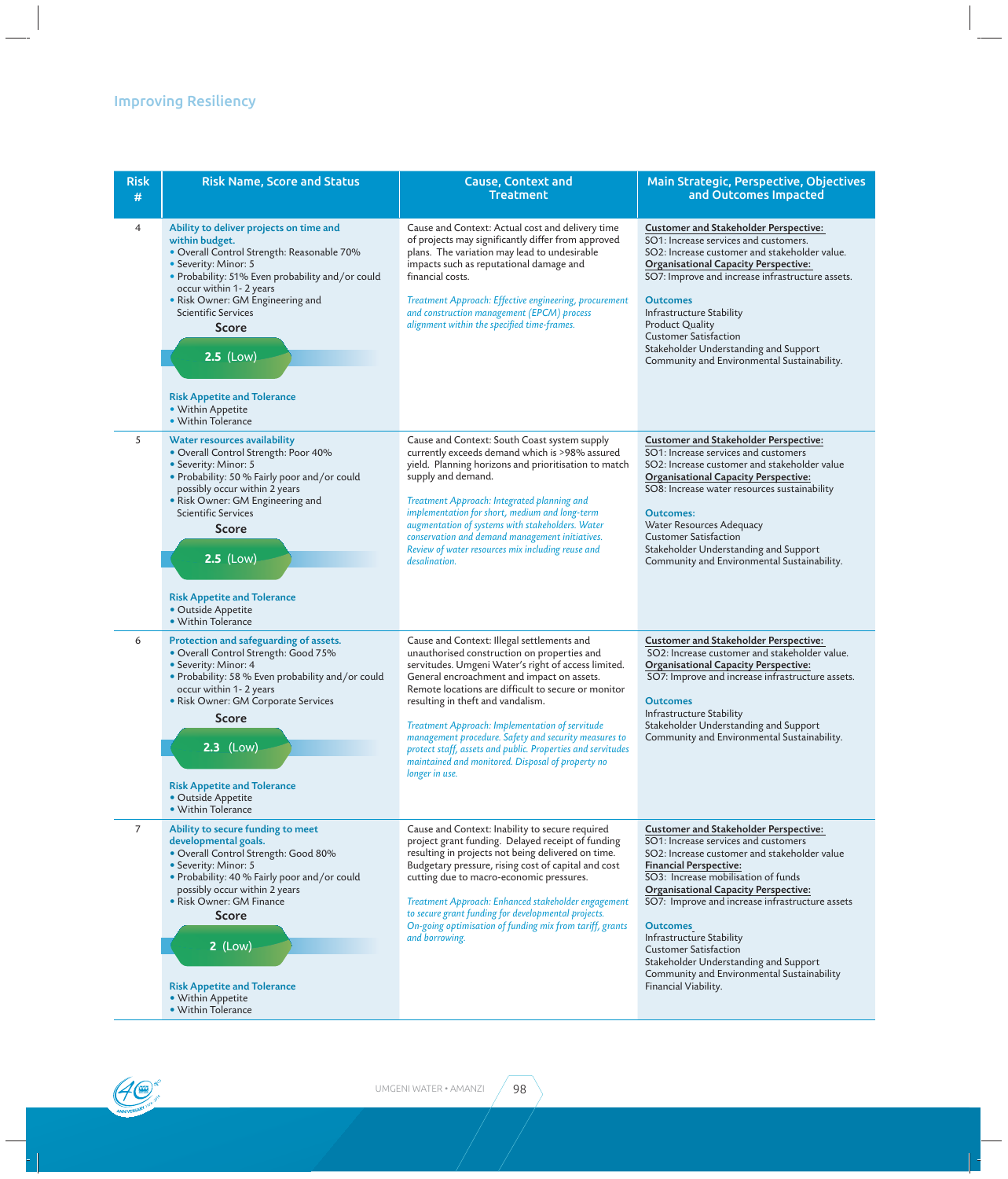#### Improving Resiliency

| <b>Risk</b><br># | <b>Risk Name, Score and Status</b>                                                                                                                                                                                                                                                                                                                                                              | <b>Cause, Context and</b><br><b>Treatment</b>                                                                                                                                                                                                                                                                                                                                                                                                                                                                                                | Main Strategic, Perspective, Objectives<br>and Outcomes Impacted                                                                                                                                                                                                                                                                                                                                                                                                                                             |
|------------------|-------------------------------------------------------------------------------------------------------------------------------------------------------------------------------------------------------------------------------------------------------------------------------------------------------------------------------------------------------------------------------------------------|----------------------------------------------------------------------------------------------------------------------------------------------------------------------------------------------------------------------------------------------------------------------------------------------------------------------------------------------------------------------------------------------------------------------------------------------------------------------------------------------------------------------------------------------|--------------------------------------------------------------------------------------------------------------------------------------------------------------------------------------------------------------------------------------------------------------------------------------------------------------------------------------------------------------------------------------------------------------------------------------------------------------------------------------------------------------|
| $\overline{4}$   | Ability to deliver projects on time and<br>within budget.<br>· Overall Control Strength: Reasonable 70%<br>• Severity: Minor: 5<br>· Probability: 51% Even probability and/or could<br>occur within 1-2 years<br>• Risk Owner: GM Engineering and<br><b>Scientific Services</b><br><b>Score</b><br>$2.5$ (Low)<br><b>Risk Appetite and Tolerance</b><br>· Within Appetite<br>• Within Tolerance | Cause and Context: Actual cost and delivery time<br>of projects may significantly differ from approved<br>plans. The variation may lead to undesirable<br>impacts such as reputational damage and<br>financial costs.<br>Treatment Approach: Effective engineering, procurement<br>and construction management (EPCM) process<br>alignment within the specified time-frames.                                                                                                                                                                 | <b>Customer and Stakeholder Perspective:</b><br>SO1: Increase services and customers.<br>SO2: Increase customer and stakeholder value.<br><b>Organisational Capacity Perspective:</b><br>SO7: Improve and increase infrastructure assets.<br><b>Outcomes</b><br>Infrastructure Stability<br><b>Product Quality</b><br><b>Customer Satisfaction</b><br>Stakeholder Understanding and Support<br>Community and Environmental Sustainability.                                                                   |
| 5                | Water resources availability<br>• Overall Control Strength: Poor 40%<br>• Severity: Minor: 5<br>· Probability: 50 % Fairly poor and/or could<br>possibly occur within 2 years<br>• Risk Owner: GM Engineering and<br><b>Scientific Services</b><br><b>Score</b><br>$2.5$ (Low)<br><b>Risk Appetite and Tolerance</b><br>• Outside Appetite<br>• Within Tolerance                                | Cause and Context: South Coast system supply<br>currently exceeds demand which is >98% assured<br>yield. Planning horizons and prioritisation to match<br>supply and demand.<br>Treatment Approach: Integrated planning and<br>implementation for short, medium and long-term<br>augmentation of systems with stakeholders. Water<br>conservation and demand management initiatives.<br>Review of water resources mix including reuse and<br>desalination.                                                                                   | <b>Customer and Stakeholder Perspective:</b><br>SO1: Increase services and customers<br>SO2: Increase customer and stakeholder value<br><b>Organisational Capacity Perspective:</b><br>SO8: Increase water resources sustainability<br><b>Outcomes:</b><br>Water Resources Adequacy<br><b>Customer Satisfaction</b><br>Stakeholder Understanding and Support<br>Community and Environmental Sustainability.                                                                                                  |
| 6                | Protection and safeguarding of assets.<br>• Overall Control Strength: Good 75%<br>• Severity: Minor: 4<br>• Probability: 58 % Even probability and/or could<br>occur within 1 - 2 years<br>• Risk Owner: GM Corporate Services<br><b>Score</b><br>$2.3$ (Low)<br><b>Risk Appetite and Tolerance</b><br>• Outside Appetite<br>• Within Tolerance                                                 | Cause and Context: Illegal settlements and<br>unauthorised construction on properties and<br>servitudes. Umgeni Water's right of access limited.<br>General encroachment and impact on assets.<br>Remote locations are difficult to secure or monitor<br>resulting in theft and vandalism.<br>Treatment Approach: Implementation of servitude<br>management procedure. Safety and security measures to<br>protect staff, assets and public. Properties and servitudes<br>maintained and monitored. Disposal of property no<br>longer in use. | <b>Customer and Stakeholder Perspective:</b><br>SO2: Increase customer and stakeholder value.<br><b>Organisational Capacity Perspective:</b><br>SO7: Improve and increase infrastructure assets.<br><b>Outcomes</b><br>Infrastructure Stability<br>Stakeholder Understanding and Support<br>Community and Environmental Sustainability.                                                                                                                                                                      |
| 7                | Ability to secure funding to meet<br>developmental goals.<br>• Overall Control Strength: Good 80%<br>• Severity: Minor: 5<br>. Probability: 40 % Fairly poor and/or could<br>possibly occur within 2 years<br>• Risk Owner: GM Finance<br><b>Score</b><br>$2$ (Low)<br><b>Risk Appetite and Tolerance</b><br>• Within Appetite<br>• Within Tolerance                                            | Cause and Context: Inability to secure required<br>project grant funding. Delayed receipt of funding<br>resulting in projects not being delivered on time.<br>Budgetary pressure, rising cost of capital and cost<br>cutting due to macro-economic pressures.<br>Treatment Approach: Enhanced stakeholder engagement<br>to secure grant funding for developmental projects.<br>On-going optimisation of funding mix from tariff, grants<br>and borrowing.                                                                                    | <b>Customer and Stakeholder Perspective:</b><br>SO1: Increase services and customers<br>SO2: Increase customer and stakeholder value<br><b>Financial Perspective:</b><br>SO3: Increase mobilisation of funds<br><b>Organisational Capacity Perspective:</b><br>SO7: Improve and increase infrastructure assets<br><b>Outcomes</b><br>Infrastructure Stability<br><b>Customer Satisfaction</b><br>Stakeholder Understanding and Support<br>Community and Environmental Sustainability<br>Financial Viability. |